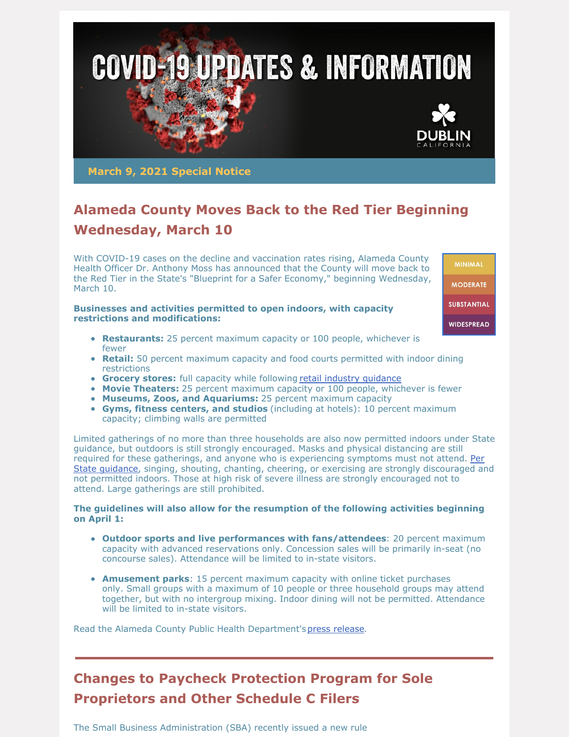

**March 9, 2021 Special Notice**

# **Alameda County Moves Back to the Red Tier Beginning Wednesday, March 10**

With COVID-19 cases on the decline and vaccination rates rising, Alameda County Health Officer Dr. Anthony Moss has announced that the County will move back to the Red Tier in the State's "Blueprint for a Safer Economy," beginning Wednesday, March 10.

#### **Businesses and activities permitted to open indoors, with capacity restrictions and modifications:**

- **Restaurants:** 25 percent maximum capacity or 100 people, whichever is fewer
- **Retail:** 50 percent maximum capacity and food courts permitted with indoor dining restrictions
- **Grocery stores:** full capacity while following retail industry quidance
- **Movie Theaters:** 25 percent maximum capacity or 100 people, whichever is fewer
- **Museums, Zoos, and Aquariums:** 25 percent maximum capacity
- **Gyms, fitness centers, and studios** (including at hotels): 10 percent maximum capacity; climbing walls are permitted

Limited gatherings of no more than three households are also now permitted indoors under State guidance, but outdoors is still strongly encouraged. Masks and physical distancing are still required for these gatherings, and anyone who is [experiencing](https://www.cdph.ca.gov/Programs/CID/DCDC/Pages/COVID-19/Guidance-for-the-Prevention-of-COVID-19-Transmission-for-Gatherings-November-2020.aspx) symptoms must not attend. Per State guidance, singing, shouting, chanting, cheering, or exercising are strongly discouraged and not permitted indoors. Those at high risk of severe illness are strongly encouraged not to attend. Large gatherings are still prohibited.

#### **The guidelines will also allow for the resumption of the following activities beginning on April 1:**

- **Outdoor sports and live performances with fans/attendees**: 20 percent maximum capacity with advanced reservations only. Concession sales will be primarily in-seat (no concourse sales). Attendance will be limited to in-state visitors.
- **Amusement parks**: 15 percent maximum capacity with online ticket purchases only. Small groups with a maximum of 10 people or three household groups may attend together, but with no intergroup mixing. Indoor dining will not be permitted. Attendance will be limited to in-state visitors.

Read the Alameda County Public Health Department'spress [release](https://covid-19.acgov.org/covid19-assets/docs/press/press-release-2021.03.09.pdf).

## **Changes to Paycheck Protection Program for Sole Proprietors and Other Schedule C Filers**

The Small Business Administration (SBA) recently issued a new rule